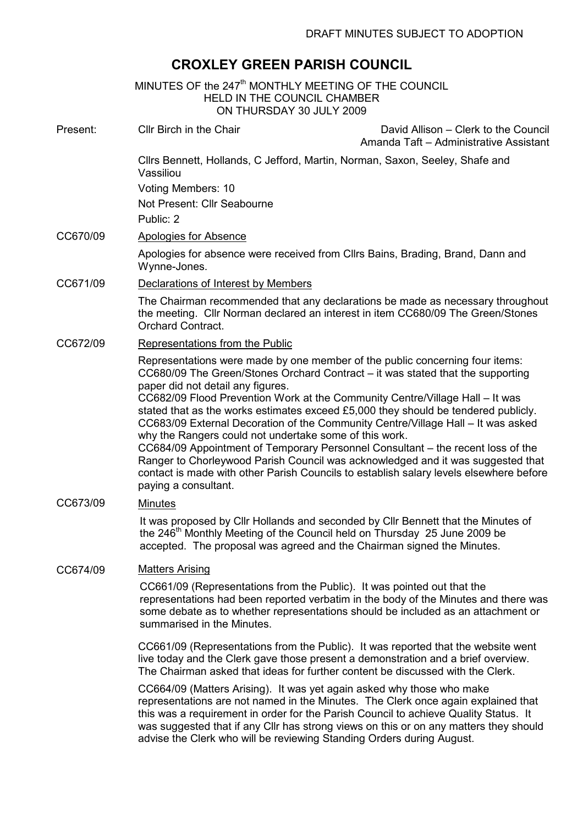# CROXLEY GREEN PARISH COUNCIL

|          | MINUTES OF the 247 <sup>th</sup> MONTHLY MEETING OF THE COUNCIL<br><b>HELD IN THE COUNCIL CHAMBER</b><br>ON THURSDAY 30 JULY 2009                                                                                                                                                                                                                                                                                                                                                                                                                                                                                                                                                                                                                                                                               |  |
|----------|-----------------------------------------------------------------------------------------------------------------------------------------------------------------------------------------------------------------------------------------------------------------------------------------------------------------------------------------------------------------------------------------------------------------------------------------------------------------------------------------------------------------------------------------------------------------------------------------------------------------------------------------------------------------------------------------------------------------------------------------------------------------------------------------------------------------|--|
| Present: | Cllr Birch in the Chair<br>David Allison - Clerk to the Council<br>Amanda Taft - Administrative Assistant                                                                                                                                                                                                                                                                                                                                                                                                                                                                                                                                                                                                                                                                                                       |  |
|          | Cllrs Bennett, Hollands, C Jefford, Martin, Norman, Saxon, Seeley, Shafe and<br>Vassiliou                                                                                                                                                                                                                                                                                                                                                                                                                                                                                                                                                                                                                                                                                                                       |  |
|          | Voting Members: 10                                                                                                                                                                                                                                                                                                                                                                                                                                                                                                                                                                                                                                                                                                                                                                                              |  |
|          | Not Present: Cllr Seabourne                                                                                                                                                                                                                                                                                                                                                                                                                                                                                                                                                                                                                                                                                                                                                                                     |  |
|          | Public: 2                                                                                                                                                                                                                                                                                                                                                                                                                                                                                                                                                                                                                                                                                                                                                                                                       |  |
| CC670/09 | <b>Apologies for Absence</b>                                                                                                                                                                                                                                                                                                                                                                                                                                                                                                                                                                                                                                                                                                                                                                                    |  |
|          | Apologies for absence were received from Cllrs Bains, Brading, Brand, Dann and<br>Wynne-Jones.                                                                                                                                                                                                                                                                                                                                                                                                                                                                                                                                                                                                                                                                                                                  |  |
| CC671/09 | Declarations of Interest by Members                                                                                                                                                                                                                                                                                                                                                                                                                                                                                                                                                                                                                                                                                                                                                                             |  |
|          | The Chairman recommended that any declarations be made as necessary throughout<br>the meeting. Cllr Norman declared an interest in item CC680/09 The Green/Stones<br><b>Orchard Contract.</b>                                                                                                                                                                                                                                                                                                                                                                                                                                                                                                                                                                                                                   |  |
| CC672/09 | Representations from the Public                                                                                                                                                                                                                                                                                                                                                                                                                                                                                                                                                                                                                                                                                                                                                                                 |  |
|          | Representations were made by one member of the public concerning four items:<br>CC680/09 The Green/Stones Orchard Contract – it was stated that the supporting<br>paper did not detail any figures.<br>CC682/09 Flood Prevention Work at the Community Centre/Village Hall - It was<br>stated that as the works estimates exceed £5,000 they should be tendered publicly.<br>CC683/09 External Decoration of the Community Centre/Village Hall - It was asked<br>why the Rangers could not undertake some of this work.<br>CC684/09 Appointment of Temporary Personnel Consultant - the recent loss of the<br>Ranger to Chorleywood Parish Council was acknowledged and it was suggested that<br>contact is made with other Parish Councils to establish salary levels elsewhere before<br>paying a consultant. |  |
| CC673/09 | <b>Minutes</b>                                                                                                                                                                                                                                                                                                                                                                                                                                                                                                                                                                                                                                                                                                                                                                                                  |  |
|          | It was proposed by Cllr Hollands and seconded by Cllr Bennett that the Minutes of<br>the $246^{\text{m}}$ Monthly Meeting of the Council held on Thursday 25 June 2009 be<br>accepted. The proposal was agreed and the Chairman signed the Minutes.                                                                                                                                                                                                                                                                                                                                                                                                                                                                                                                                                             |  |
| CC674/09 | <b>Matters Arising</b>                                                                                                                                                                                                                                                                                                                                                                                                                                                                                                                                                                                                                                                                                                                                                                                          |  |
|          | CC661/09 (Representations from the Public). It was pointed out that the<br>representations had been reported verbatim in the body of the Minutes and there was<br>some debate as to whether representations should be included as an attachment or<br>summarised in the Minutes.                                                                                                                                                                                                                                                                                                                                                                                                                                                                                                                                |  |
|          | CC661/09 (Representations from the Public). It was reported that the website went<br>live today and the Clerk gave those present a demonstration and a brief overview.<br>The Chairman asked that ideas for further content be discussed with the Clerk.                                                                                                                                                                                                                                                                                                                                                                                                                                                                                                                                                        |  |
|          | CC664/09 (Matters Arising). It was yet again asked why those who make<br>representations are not named in the Minutes. The Clerk once again explained that<br>this was a requirement in order for the Parish Council to achieve Quality Status. It<br>was suggested that if any Cllr has strong views on this or on any matters they should<br>advise the Clerk who will be reviewing Standing Orders during August.                                                                                                                                                                                                                                                                                                                                                                                            |  |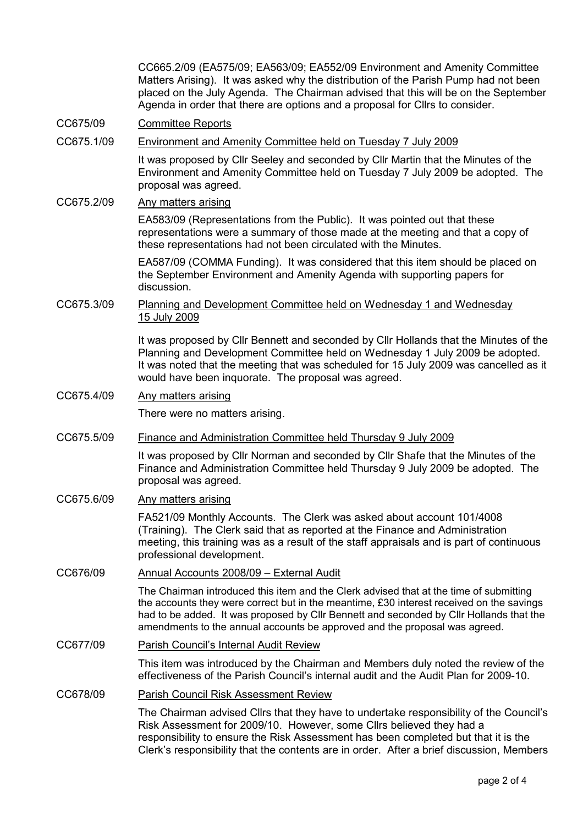CC665.2/09 (EA575/09; EA563/09; EA552/09 Environment and Amenity Committee Matters Arising). It was asked why the distribution of the Parish Pump had not been placed on the July Agenda. The Chairman advised that this will be on the September Agenda in order that there are options and a proposal for Cllrs to consider.

## CC675/09 Committee Reports

## CC675.1/09 Environment and Amenity Committee held on Tuesday 7 July 2009

It was proposed by Cllr Seeley and seconded by Cllr Martin that the Minutes of the Environment and Amenity Committee held on Tuesday 7 July 2009 be adopted. The proposal was agreed.

# CC675.2/09 Any matters arising

EA583/09 (Representations from the Public). It was pointed out that these representations were a summary of those made at the meeting and that a copy of these representations had not been circulated with the Minutes.

EA587/09 (COMMA Funding). It was considered that this item should be placed on the September Environment and Amenity Agenda with supporting papers for discussion.

## CC675.3/09 Planning and Development Committee held on Wednesday 1 and Wednesday 15 July 2009

It was proposed by Cllr Bennett and seconded by Cllr Hollands that the Minutes of the Planning and Development Committee held on Wednesday 1 July 2009 be adopted. It was noted that the meeting that was scheduled for 15 July 2009 was cancelled as it would have been inquorate. The proposal was agreed.

# CC675.4/09 Any matters arising

There were no matters arising.

#### CC675.5/09 Finance and Administration Committee held Thursday 9 July 2009

It was proposed by Cllr Norman and seconded by Cllr Shafe that the Minutes of the Finance and Administration Committee held Thursday 9 July 2009 be adopted. The proposal was agreed.

# CC675.6/09 Any matters arising

FA521/09 Monthly Accounts. The Clerk was asked about account 101/4008 (Training). The Clerk said that as reported at the Finance and Administration meeting, this training was as a result of the staff appraisals and is part of continuous professional development.

# CC676/09 Annual Accounts 2008/09 – External Audit

The Chairman introduced this item and the Clerk advised that at the time of submitting the accounts they were correct but in the meantime, £30 interest received on the savings had to be added. It was proposed by Cllr Bennett and seconded by Cllr Hollands that the amendments to the annual accounts be approved and the proposal was agreed.

# CC677/09 Parish Council's Internal Audit Review

This item was introduced by the Chairman and Members duly noted the review of the effectiveness of the Parish Council's internal audit and the Audit Plan for 2009-10.

# CC678/09 Parish Council Risk Assessment Review

The Chairman advised Cllrs that they have to undertake responsibility of the Council's Risk Assessment for 2009/10. However, some Cllrs believed they had a responsibility to ensure the Risk Assessment has been completed but that it is the Clerk's responsibility that the contents are in order. After a brief discussion, Members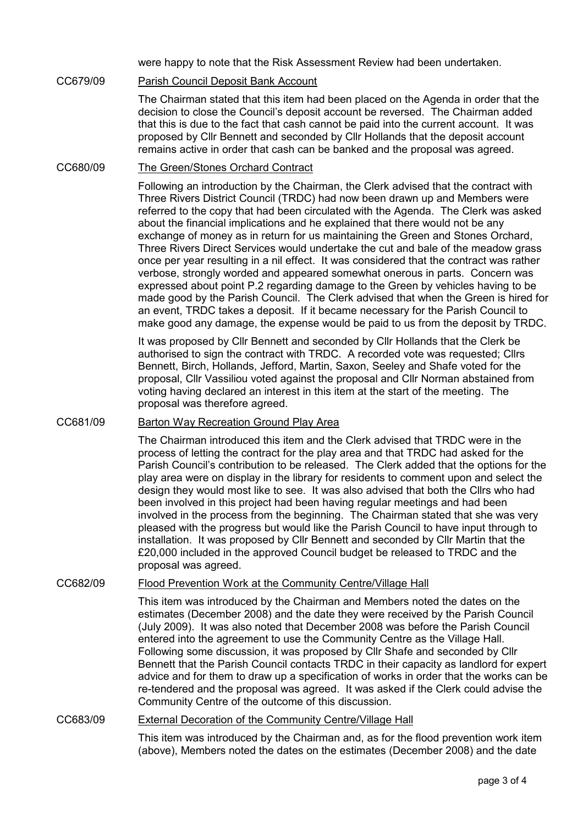were happy to note that the Risk Assessment Review had been undertaken.

# CC679/09 Parish Council Deposit Bank Account

The Chairman stated that this item had been placed on the Agenda in order that the decision to close the Council's deposit account be reversed. The Chairman added that this is due to the fact that cash cannot be paid into the current account. It was proposed by Cllr Bennett and seconded by Cllr Hollands that the deposit account remains active in order that cash can be banked and the proposal was agreed.

#### CC680/09 The Green/Stones Orchard Contract

Following an introduction by the Chairman, the Clerk advised that the contract with Three Rivers District Council (TRDC) had now been drawn up and Members were referred to the copy that had been circulated with the Agenda. The Clerk was asked about the financial implications and he explained that there would not be any exchange of money as in return for us maintaining the Green and Stones Orchard, Three Rivers Direct Services would undertake the cut and bale of the meadow grass once per year resulting in a nil effect. It was considered that the contract was rather verbose, strongly worded and appeared somewhat onerous in parts. Concern was expressed about point P.2 regarding damage to the Green by vehicles having to be made good by the Parish Council. The Clerk advised that when the Green is hired for an event, TRDC takes a deposit. If it became necessary for the Parish Council to make good any damage, the expense would be paid to us from the deposit by TRDC.

It was proposed by Cllr Bennett and seconded by Cllr Hollands that the Clerk be authorised to sign the contract with TRDC. A recorded vote was requested; Cllrs Bennett, Birch, Hollands, Jefford, Martin, Saxon, Seeley and Shafe voted for the proposal, Cllr Vassiliou voted against the proposal and Cllr Norman abstained from voting having declared an interest in this item at the start of the meeting. The proposal was therefore agreed.

## CC681/09 Barton Way Recreation Ground Play Area

The Chairman introduced this item and the Clerk advised that TRDC were in the process of letting the contract for the play area and that TRDC had asked for the Parish Council's contribution to be released. The Clerk added that the options for the play area were on display in the library for residents to comment upon and select the design they would most like to see. It was also advised that both the Cllrs who had been involved in this project had been having regular meetings and had been involved in the process from the beginning. The Chairman stated that she was very pleased with the progress but would like the Parish Council to have input through to installation. It was proposed by Cllr Bennett and seconded by Cllr Martin that the £20,000 included in the approved Council budget be released to TRDC and the proposal was agreed.

#### CC682/09 Flood Prevention Work at the Community Centre/Village Hall

This item was introduced by the Chairman and Members noted the dates on the estimates (December 2008) and the date they were received by the Parish Council (July 2009). It was also noted that December 2008 was before the Parish Council entered into the agreement to use the Community Centre as the Village Hall. Following some discussion, it was proposed by Cllr Shafe and seconded by Cllr Bennett that the Parish Council contacts TRDC in their capacity as landlord for expert advice and for them to draw up a specification of works in order that the works can be re-tendered and the proposal was agreed. It was asked if the Clerk could advise the Community Centre of the outcome of this discussion.

#### CC683/09 External Decoration of the Community Centre/Village Hall

This item was introduced by the Chairman and, as for the flood prevention work item (above), Members noted the dates on the estimates (December 2008) and the date